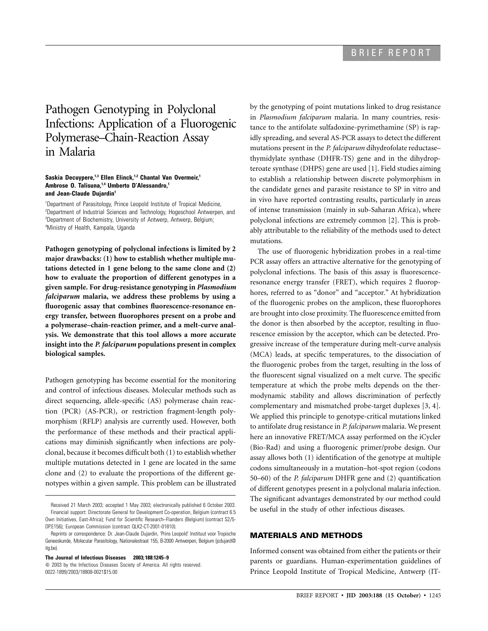# Pathogen Genotyping in Polyclonal Infections: Application of a Fluorogenic Polymerase–Chain-Reaction Assay in Malaria

#### Saskia Decuypere,<sup>1,3</sup> Ellen Elinck,<sup>1,2</sup> Chantal Van Overmeir,<sup>1</sup> **Ambrose O. Talisuna,1,4 Umberto D'Alessandro,1 and Jean-Claude Dujardin1**

 Department of Parasitology, Prince Leopold Institute of Tropical Medicine, <sup>2</sup>Department of Industrial Sciences and Technology, Hogeschool Antwerpen, and Department of Biochemistry, University of Antwerp, Antwerp, Belgium; Ministry of Health, Kampala, Uganda

**Pathogen genotyping of polyclonal infections is limited by 2 major drawbacks: (1) how to establish whether multiple mutations detected in 1 gene belong to the same clone and (2) how to evaluate the proportion of different genotypes in a given sample. For drug-resistance genotyping in** *Plasmodium falciparum* **malaria, we address these problems by using a fluorogenic assay that combines fluorescence-resonance energy transfer, between fluorophores present on a probe and a polymerase–chain-reaction primer, and a melt-curve analysis. We demonstrate that this tool allows a more accurate insight into the** *P. falciparum* **populations present in complex biological samples.**

Pathogen genotyping has become essential for the monitoring and control of infectious diseases. Molecular methods such as direct sequencing, allele-specific (AS) polymerase chain reaction (PCR) (AS-PCR), or restriction fragment-length polymorphism (RFLP) analysis are currently used. However, both the performance of these methods and their practical applications may diminish significantly when infections are polyclonal, because it becomes difficult both (1) to establish whether multiple mutations detected in 1 gene are located in the same clone and (2) to evaluate the proportions of the different genotypes within a given sample. This problem can be illustrated

**The Journal of Infectious Diseases 2003; 188:1245–9**

 $\odot$  2003 by the Infectious Diseases Society of America. All rights reserved. 0022-1899/2003/18808-0021\$15.00

by the genotyping of point mutations linked to drug resistance in *Plasmodium falciparum* malaria. In many countries, resistance to the antifolate sulfadoxine-pyrimethamine (SP) is rapidly spreading, and several AS-PCR assays to detect the different mutations present in the *P. falciparum* dihydrofolate reductase– thymidylate synthase (DHFR-TS) gene and in the dihydropteroate synthase (DHPS) gene are used [1]. Field studies aiming to establish a relationship between discrete polymorphism in the candidate genes and parasite resistance to SP in vitro and in vivo have reported contrasting results, particularly in areas of intense transmission (mainly in sub-Saharan Africa), where polyclonal infections are extremely common [2]. This is probably attributable to the reliability of the methods used to detect mutations.

The use of fluorogenic hybridization probes in a real-time PCR assay offers an attractive alternative for the genotyping of polyclonal infections. The basis of this assay is fluorescenceresonance energy transfer (FRET), which requires 2 fluorophores, referred to as "donor" and "acceptor." At hybridization of the fluorogenic probes on the amplicon, these fluorophores are brought into close proximity. The fluorescence emitted from the donor is then absorbed by the acceptor, resulting in fluorescence emission by the acceptor, which can be detected. Progressive increase of the temperature during melt-curve analysis (MCA) leads, at specific temperatures, to the dissociation of the fluorogenic probes from the target, resulting in the loss of the fluorescent signal visualized on a melt curve. The specific temperature at which the probe melts depends on the thermodynamic stability and allows discrimination of perfectly complementary and mismatched probe-target duplexes [3, 4]. We applied this principle to genotype-critical mutations linked to antifolate drug resistance in *P. falciparum* malaria. We present here an innovative FRET/MCA assay performed on the iCycler (Bio-Rad) and using a fluorogenic primer/probe design. Our assay allows both (1) identification of the genotype at multiple codons simultaneously in a mutation–hot-spot region (codons 50–60) of the *P. falciparum* DHFR gene and (2) quantification of different genotypes present in a polyclonal malaria infection. The significant advantages demonstrated by our method could be useful in the study of other infectious diseases.

## **MATERIALS AND METHODS**

Informed consent was obtained from either the patients or their parents or guardians. Human-experimentation guidelines of Prince Leopold Institute of Tropical Medicine, Antwerp (IT-

Received 21 March 2003; accepted 1 May 2003; electronically published 6 October 2003. Financial support: Directorate General for Development Co-operation, Belgium (contract 6.5 Own Initiatives, East-Africa); Fund for Scientific Research–Flanders (Belgium) (contract S2/5- DP.E156); European Commission (contract QLK2-CT-2001-01810).

Reprints or correspondence: Dr. Jean-Claude Dujardin, 'Prins Leopold' Instituut voor Tropische Geneeskunde, Molecular Parasitology, Nationalestraat 155, B-2000 Antwerpen, Belgium (jcdujard@ itg.be).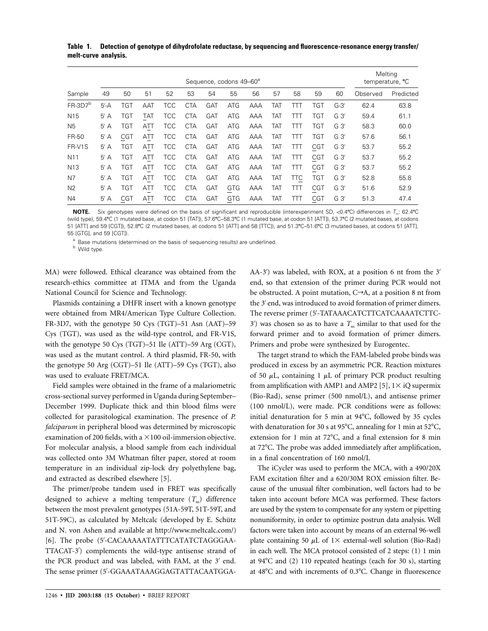**Table 1. Detection of genotype of dihydrofolate reductase, by sequencing and fluorescence-resonance energy transfer/ melt-curve analysis.**

|                     | Sequence, codons 49-60 <sup>a</sup> |            |            |            |            |            |            |     |            |            |            |        |          | Meltina<br>temperature, °C |  |
|---------------------|-------------------------------------|------------|------------|------------|------------|------------|------------|-----|------------|------------|------------|--------|----------|----------------------------|--|
| Sample              | 49                                  | 50         | 51         | 52         | 53         | 54         | 55         | 56  | 57         | 58         | 59         | 60     | Observed | Predicted                  |  |
| FR-3D7 <sup>b</sup> | $5' - A$                            | <b>TGT</b> | <b>AAT</b> | <b>TCC</b> | <b>CTA</b> | GAT        | <b>ATG</b> | AAA | <b>TAT</b> | TП         | <b>TGT</b> | $G-3'$ | 62.4     | 63.8                       |  |
| N <sub>15</sub>     | $5'$ A                              | <b>TGT</b> | TAT        | <b>TCC</b> | <b>CTA</b> | <b>GAT</b> | <b>ATG</b> | AAA | TAT        | TП         | <b>TGT</b> | $G_3'$ | 59.4     | 61.1                       |  |
| N <sub>5</sub>      | $5'$ A                              | <b>TGT</b> | ATT        | <b>TCC</b> | <b>CTA</b> | <b>GAT</b> | <b>ATG</b> | AAA | TAT        | TП         | <b>TGT</b> | $G_3'$ | 58.3     | 60.0                       |  |
| FR-50               | $5'$ A                              | <b>CGT</b> | ATT        | <b>TCC</b> | <b>CTA</b> | <b>GAT</b> | <b>ATG</b> | AAA | TAT        | 111        | <b>TGT</b> | $G_3'$ | 57.6     | 56.1                       |  |
| FR-V1S              | $5'$ A                              | TGT        | ATT        | <b>TCC</b> | <b>CTA</b> | GAT        | <b>ATG</b> | AAA | TAT        | TП         | <b>CGT</b> | $G_3'$ | 53.7     | 55.2                       |  |
| N <sub>11</sub>     | $5'$ A                              | <b>TGT</b> | ATT        | <b>TCC</b> | <b>CTA</b> | <b>GAT</b> | <b>ATG</b> | AAA | TAT        | TП         | <b>CGT</b> | $G_3'$ | 53.7     | 55.2                       |  |
| N <sub>13</sub>     | $5'$ A                              | <b>TGT</b> | ATT        | <b>TCC</b> | <b>CTA</b> | <b>GAT</b> | <b>ATG</b> | AAA | TAT        | TTT        | <b>CGT</b> | $G_3'$ | 53.7     | 55.2                       |  |
| N7                  | $5'$ A                              | <b>TGT</b> | ATT        | <b>TCC</b> | <b>CTA</b> | <b>GAT</b> | <b>ATG</b> | AAA | TAT        | <b>TTC</b> | <b>TGT</b> | $G_3'$ | 52.8     | 55.8                       |  |
| N <sub>2</sub>      | $5'$ A                              | <b>TGT</b> | ATT        | <b>TCC</b> | <b>CTA</b> | GAT        | <b>GTG</b> | AAA | TAT        | TП         | <b>CGT</b> | $G_3'$ | 51.6     | 52.9                       |  |
| N <sub>4</sub>      | $5'$ A                              | <b>CGT</b> | ATT        | <b>TCC</b> | <b>CTA</b> | GAT        | <b>GTG</b> | AAA | TAT        | TП         | <b>CGT</b> | $G_3'$ | 51.3     | 47.4                       |  |

**NOTE.** Six genotypes were defined on the basis of significant and reproducible (interexperiment SD, <0.4°C) differences in  $T_m$ : 62.4°C (wild type), 59.4°C (1 mutated base, at codon 51 [TAT]), 57.6°C–58.3°C (1 mutated base, at codon 51 [ATT]), 53.7°C (2 mutated bases, at codons 51 [ATT] and 59 [CGT]), 52.8C (2 mutated bases, at codons 51 [ATT] and 58 [TTC]), and 51.3C–51.6C (3 mutated bases, at codons 51 [ATT], 55 [GTG], and 59 [CGT]).

 $a$  Base mutations (determined on the basis of sequencing results) are underlined.<br>
b Wild type.

MA) were followed. Ethical clearance was obtained from the research-ethics committee at ITMA and from the Uganda National Council for Science and Technology.

Plasmids containing a DHFR insert with a known genotype were obtained from MR4/American Type Culture Collection. FR-3D7, with the genotype 50 Cys (TGT)–51 Asn (AAT)–59 Cys (TGT), was used as the wild-type control, and FR-V1S, with the genotype 50 Cys (TGT)–51 Ile (ATT)–59 Arg (CGT), was used as the mutant control. A third plasmid, FR-50, with the genotype 50 Arg (CGT)–51 Ile (ATT)–59 Cys (TGT), also was used to evaluate FRET/MCA.

Field samples were obtained in the frame of a malariometric cross-sectional survey performed in Uganda during September– December 1999. Duplicate thick and thin blood films were collected for parasitological examination. The presence of *P. falciparum* in peripheral blood was determined by microscopic examination of 200 fields, with a  $\times$  100 oil-immersion objective. For molecular analysis, a blood sample from each individual was collected onto 3M Whatman filter paper, stored at room temperature in an individual zip-lock dry polyethylene bag, and extracted as described elsewhere [5].

The primer/probe tandem used in FRET was specifically designed to achieve a melting temperature  $(T<sub>m</sub>)$  difference between the most prevalent genotypes (51A-59T, 51T-59T, and 51T-59C), as calculated by Meltcalc (developed by E. Schütz and N. von Ashen and available at http://www.meltcalc.com/) [6]. The probe (5 -CACAAAAATATTTCATATCTAGGGAA-TTACAT-3 ) complements the wild-type antisense strand of the PCR product and was labeled, with FAM, at the  $3'$  end. The sense primer (5 -GGAAATAAAGGAGTATTACAATGGA-

AA-3 ) was labeled, with ROX, at a position 6 nt from the 3 end, so that extension of the primer during PCR would not be obstructed. A point mutation,  $C \rightarrow A$ , at a position 8 nt from the 3' end, was introduced to avoid formation of primer dimers. The reverse primer (5 -TATAAACATCTTCATCAAAATCTTC- $3'$ ) was chosen so as to have a  $T<sub>m</sub>$  similar to that used for the forward primer and to avoid formation of primer dimers. Primers and probe were synthesized by Eurogentec.

The target strand to which the FAM-labeled probe binds was produced in excess by an asymmetric PCR. Reaction mixtures of 50  $\mu$ L, containing 1  $\mu$ L of primary PCR product resulting from amplification with AMP1 and AMP2 [5],  $1 \times iQ$  supermix (Bio-Rad), sense primer (500 nmol/L), and antisense primer (100 nmol/L), were made. PCR conditions were as follows: initial denaturation for 5 min at  $94^{\circ}$ C, followed by 35 cycles with denaturation for 30 s at 95 $^{\circ}$ C, annealing for 1 min at 52 $^{\circ}$ C, extension for 1 min at  $72^{\circ}$ C, and a final extension for 8 min at 72°C. The probe was added immediately after amplification, in a final concentration of 160 nmol/L

The iCycler was used to perform the MCA, with a 490/20X FAM excitation filter and a 620/30M ROX emission filter. Because of the unusual filter combination, well factors had to be taken into account before MCA was performed. These factors are used by the system to compensate for any system or pipetting nonuniformity, in order to optimize postrun data analysis. Well factors were taken into account by means of an external 96-well plate containing 50  $\mu$ L of 1× external-well solution (Bio-Rad) in each well. The MCA protocol consisted of 2 steps: (1) 1 min at  $94^{\circ}$ C and (2) 110 repeated heatings (each for 30 s), starting at  $48^{\circ}$ C and with increments of 0.3 $^{\circ}$ C. Change in fluorescence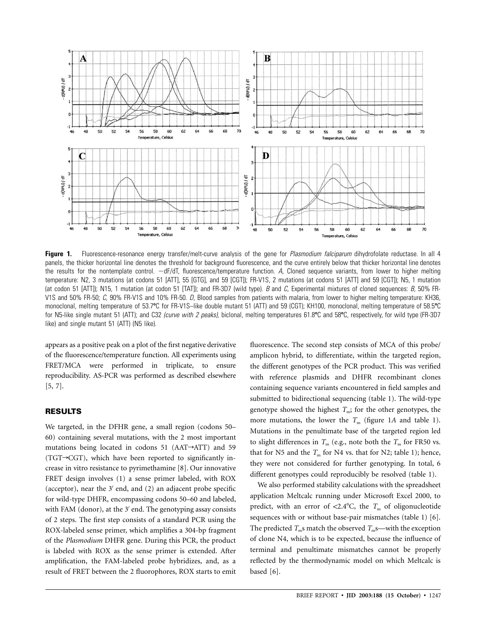

**Figure 1.** Fluorescence-resonance energy transfer/melt-curve analysis of the gene for *Plasmodium falciparum* dihydrofolate reductase. In all 4 panels, the thicker horizontal line denotes the threshold for background fluorescence, and the curve entirely below that thicker horizontal line denotes the results for the nontemplate control. dF/dT, fluorescence/temperature function. *A,* Cloned sequence variants, from lower to higher melting temperature: N2, 3 mutations (at codons 51 [ATT], 55 [GTG], and 59 [CGT]); FR-V1S, 2 mutations (at codons 51 [ATT] and 59 [CGT]); N5, 1 mutation (at codon 51 [ATT]); N15, 1 mutation (at codon 51 [TAT]); and FR-3D7 (wild type). *B* and *C,* Experimental mixtures of cloned sequences: *B,* 50% FR-V1S and 50% FR-50; *C,* 90% FR-V1S and 10% FR-50. *D,* Blood samples from patients with malaria, from lower to higher melting temperature: KH36, monoclonal, melting temperature of 53.7C for FR-V1S–like double mutant 51 (ATT) and 59 (CGT); KH100, monoclonal, melting temperature of 58.5C for N5-like single mutant 51 (ATT); and C32 *(curve with 2 peaks)*, biclonal, melting temperatures 61.8°C and 58°C, respectively, for wild type (FR-3D7 like) and single mutant 51 (ATT) (N5 like).

appears as a positive peak on a plot of the first negative derivative of the fluorescence/temperature function. All experiments using FRET/MCA were performed in triplicate, to ensure reproducibility. AS-PCR was performed as described elsewhere [5, 7].

## **RESULTS**

We targeted, in the DFHR gene, a small region (codons 50– 60) containing several mutations, with the 2 most important mutations being located in codons 51 ( $AAT\rightarrow ATT$ ) and 59  $(TGT \rightarrow CGT)$ , which have been reported to significantly increase in vitro resistance to pyrimethamine [8]. Our innovative FRET design involves (1) a sense primer labeled, with ROX (acceptor), near the  $3'$  end, and  $(2)$  an adjacent probe specific for wild-type DHFR, encompassing codons 50–60 and labeled, with FAM (donor), at the 3' end. The genotyping assay consists of 2 steps. The first step consists of a standard PCR using the ROX-labeled sense primer, which amplifies a 304-bp fragment of the *Plasmodium* DHFR gene. During this PCR, the product is labeled with ROX as the sense primer is extended. After amplification, the FAM-labeled probe hybridizes, and, as a result of FRET between the 2 fluorophores, ROX starts to emit

fluorescence. The second step consists of MCA of this probe/ amplicon hybrid, to differentiate, within the targeted region, the different genotypes of the PCR product. This was verified with reference plasmids and DHFR recombinant clones containing sequence variants encountered in field samples and submitted to bidirectional sequencing (table 1). The wild-type genotype showed the highest  $T_m$ ; for the other genotypes, the more mutations, the lower the  $T_m$  (figure 1A and table 1). Mutations in the penultimate base of the targeted region led to slight differences in  $T_m$  (e.g., note both the  $T_m$  for FR50 vs. that for N5 and the  $T_m$  for N4 vs. that for N2; table 1); hence, they were not considered for further genotyping. In total, 6 different genotypes could reproducibly be resolved (table 1).

We also performed stability calculations with the spreadsheet application Meltcalc running under Microsoft Excel 2000, to predict, with an error of  $\langle 2.4^{\circ} \text{C} \rangle$ , the  $T_{\text{m}}$  of oligonucleotide sequences with or without base-pair mismatches (table 1) [6]. The predicted  $T_m$ s match the observed  $T_m$ s—with the exception of clone N4, which is to be expected, because the influence of terminal and penultimate mismatches cannot be properly reflected by the thermodynamic model on which Meltcalc is based [6].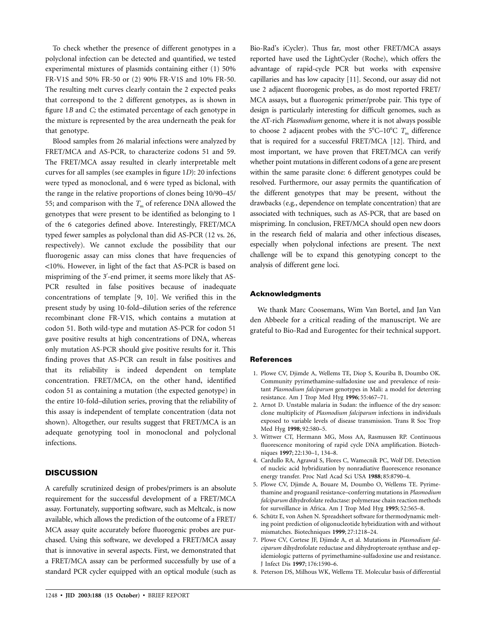To check whether the presence of different genotypes in a polyclonal infection can be detected and quantified, we tested experimental mixtures of plasmids containing either (1) 50% FR-V1S and 50% FR-50 or (2) 90% FR-V1S and 10% FR-50. The resulting melt curves clearly contain the 2 expected peaks that correspond to the 2 different genotypes, as is shown in figure 1*B* and *C;* the estimated percentage of each genotype in the mixture is represented by the area underneath the peak for that genotype.

Blood samples from 26 malarial infections were analyzed by FRET/MCA and AS-PCR, to characterize codons 51 and 59. The FRET/MCA assay resulted in clearly interpretable melt curves for all samples (see examples in figure 1*D*): 20 infections were typed as monoclonal, and 6 were typed as biclonal, with the range in the relative proportions of clones being 10/90–45/ 55; and comparison with the  $T<sub>m</sub>$  of reference DNA allowed the genotypes that were present to be identified as belonging to 1 of the 6 categories defined above. Interestingly, FRET/MCA typed fewer samples as polyclonal than did AS-PCR (12 vs. 26, respectively). We cannot exclude the possibility that our fluorogenic assay can miss clones that have frequencies of !10%. However, in light of the fact that AS-PCR is based on mispriming of the 3'-end primer, it seems more likely that AS-PCR resulted in false positives because of inadequate concentrations of template [9, 10]. We verified this in the present study by using 10-fold–dilution series of the reference recombinant clone FR-V1S, which contains a mutation at codon 51. Both wild-type and mutation AS-PCR for codon 51 gave positive results at high concentrations of DNA, whereas only mutation AS-PCR should give positive results for it. This finding proves that AS-PCR can result in false positives and that its reliability is indeed dependent on template concentration. FRET/MCA, on the other hand, identified codon 51 as containing a mutation (the expected genotype) in the entire 10-fold–dilution series, proving that the reliability of this assay is independent of template concentration (data not shown). Altogether, our results suggest that FRET/MCA is an adequate genotyping tool in monoclonal and polyclonal infections.

### **DISCUSSION**

A carefully scrutinized design of probes/primers is an absolute requirement for the successful development of a FRET/MCA assay. Fortunately, supporting software, such as Meltcalc, is now available, which allows the prediction of the outcome of a FRET/ MCA assay quite accurately before fluorogenic probes are purchased. Using this software, we developed a FRET/MCA assay that is innovative in several aspects. First, we demonstrated that a FRET/MCA assay can be performed successfully by use of a standard PCR cycler equipped with an optical module (such as Bio-Rad's iCycler). Thus far, most other FRET/MCA assays reported have used the LightCycler (Roche), which offers the advantage of rapid-cycle PCR but works with expensive capillaries and has low capacity [11]. Second, our assay did not use 2 adjacent fluorogenic probes, as do most reported FRET/ MCA assays, but a fluorogenic primer/probe pair. This type of design is particularly interesting for difficult genomes, such as the AT-rich *Plasmodium* genome, where it is not always possible to choose 2 adjacent probes with the  $5^{\circ}$ C–10 $^{\circ}$ C  $T_{\text{m}}$  difference that is required for a successful FRET/MCA [12]. Third, and most important, we have proven that FRET/MCA can verify whether point mutations in different codons of a gene are present within the same parasite clone: 6 different genotypes could be resolved. Furthermore, our assay permits the quantification of the different genotypes that may be present, without the drawbacks (e.g., dependence on template concentration) that are associated with techniques, such as AS-PCR, that are based on mispriming. In conclusion, FRET/MCA should open new doors in the research field of malaria and other infectious diseases, especially when polyclonal infections are present. The next challenge will be to expand this genotyping concept to the analysis of different gene loci.

#### **Acknowledgments**

We thank Marc Coosemans, Wim Van Bortel, and Jan Van den Abbeele for a critical reading of the manuscript. We are grateful to Bio-Rad and Eurogentec for their technical support.

#### **References**

- 1. Plowe CV, Djimde A, Wellems TE, Diop S, Kouriba B, Doumbo OK. Community pyrimethamine-sulfadoxine use and prevalence of resistant *Plasmodium falciparum* genotypes in Mali: a model for deterring resistance. Am J Trop Med Hyg **1996**; 55:467–71.
- 2. Arnot D. Unstable malaria in Sudan: the influence of the dry season: clone multiplicity of *Plasmodium falciparum* infections in individuals exposed to variable levels of disease transmission. Trans R Soc Trop Med Hyg **1998**; 92:580–5.
- 3. Wittwer CT, Hermann MG, Moss AA, Rasmussen RP. Continuous fluorescence monitoring of rapid cycle DNA amplification. Biotechniques **1997**; 22:130–1, 134–8.
- 4. Cardullo RA, Agrawal S, Flores C, Wamecnik PC, Wolf DE. Detection of nucleic acid hybridization by nonradiative fluorescence resonance energy transfer. Proc Natl Acad Sci USA **1988**; 85:8790–4.
- 5. Plowe CV, Djimde A, Bouare M, Doumbo O, Wellems TE. Pyrimethamine and proguanil resistance–conferring mutations in *Plasmodium falciparum* dihydrofolate reductase: polymerase chain reaction methods for surveillance in Africa. Am J Trop Med Hyg **1995**; 52:565–8.
- 6. Schütz E, von Ashen N. Spreadsheet software for thermodynamic melting point prediction of oligonucleotide hybridization with and without mismatches. Biotechniques **1999**; 27:1218–24.
- 7. Plowe CV, Cortese JF, Djimde A, et al. Mutations in *Plasmodium falciparum* dihydrofolate reductase and dihydropteroate synthase and epidemiologic patterns of pyrimethamine-sulfadoxine use and resistance. J Infect Dis **1997**; 176:1590–6.
- 8. Peterson DS, Milhous WK, Wellems TE. Molecular basis of differential